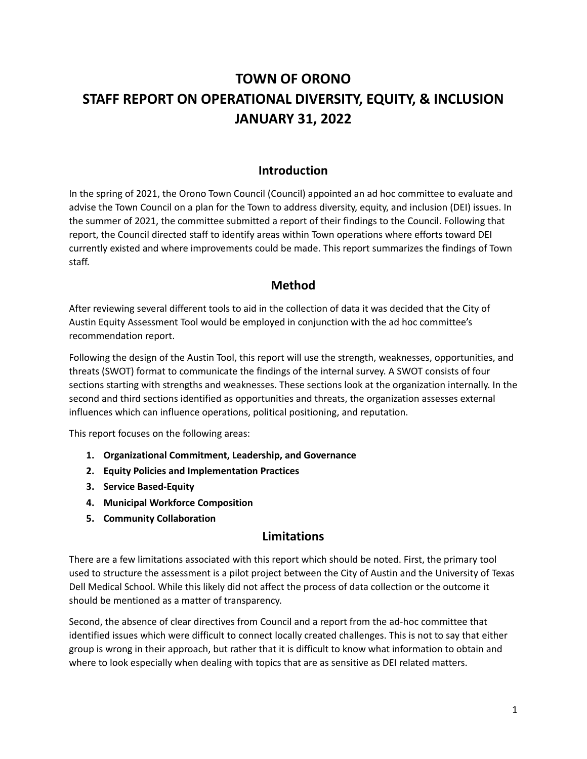# **TOWN OF ORONO STAFF REPORT ON OPERATIONAL DIVERSITY, EQUITY, & INCLUSION JANUARY 31, 2022**

## **Introduction**

In the spring of 2021, the Orono Town Council (Council) appointed an ad hoc committee to evaluate and advise the Town Council on a plan for the Town to address diversity, equity, and inclusion (DEI) issues. In the summer of 2021, the committee submitted a report of their findings to the Council. Following that report, the Council directed staff to identify areas within Town operations where efforts toward DEI currently existed and where improvements could be made. This report summarizes the findings of Town staff.

## **Method**

After reviewing several different tools to aid in the collection of data it was decided that the City of Austin Equity Assessment Tool would be employed in conjunction with the ad hoc committee's recommendation report.

Following the design of the Austin Tool, this report will use the strength, weaknesses, opportunities, and threats (SWOT) format to communicate the findings of the internal survey. A SWOT consists of four sections starting with strengths and weaknesses. These sections look at the organization internally. In the second and third sections identified as opportunities and threats, the organization assesses external influences which can influence operations, political positioning, and reputation.

This report focuses on the following areas:

- **1. Organizational Commitment, Leadership, and Governance**
- **2. Equity Policies and Implementation Practices**
- **3. Service Based-Equity**
- **4. Municipal Workforce Composition**
- **5. Community Collaboration**

# **Limitations**

There are a few limitations associated with this report which should be noted. First, the primary tool used to structure the assessment is a pilot project between the City of Austin and the University of Texas Dell Medical School. While this likely did not affect the process of data collection or the outcome it should be mentioned as a matter of transparency.

Second, the absence of clear directives from Council and a report from the ad-hoc committee that identified issues which were difficult to connect locally created challenges. This is not to say that either group is wrong in their approach, but rather that it is difficult to know what information to obtain and where to look especially when dealing with topics that are as sensitive as DEI related matters.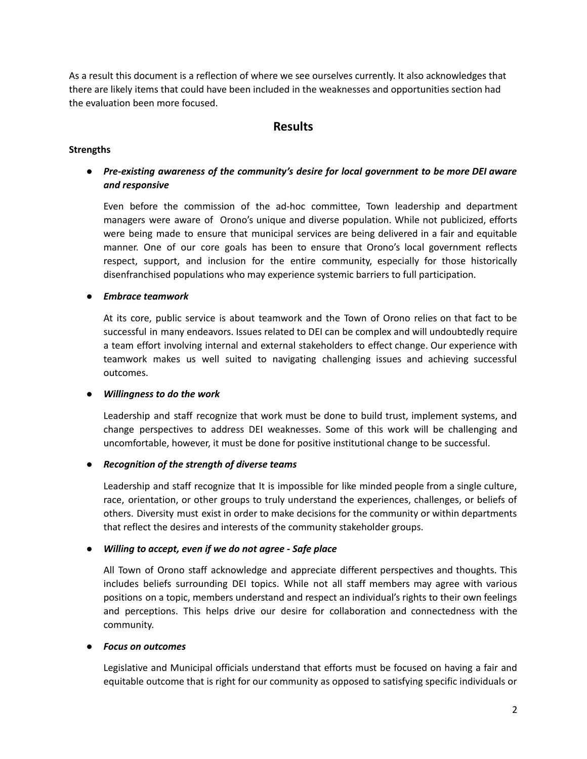As a result this document is a reflection of where we see ourselves currently. It also acknowledges that there are likely items that could have been included in the weaknesses and opportunities section had the evaluation been more focused.

## **Results**

#### **Strengths**

## *● Pre-existing awareness of the community's desire for local government to be more DEI aware and responsive*

Even before the commission of the ad-hoc committee, Town leadership and department managers were aware of Orono's unique and diverse population. While not publicized, efforts were being made to ensure that municipal services are being delivered in a fair and equitable manner. One of our core goals has been to ensure that Orono's local government reflects respect, support, and inclusion for the entire community, especially for those historically disenfranchised populations who may experience systemic barriers to full participation.

#### *● Embrace teamwork*

At its core, public service is about teamwork and the Town of Orono relies on that fact to be successful in many endeavors. Issues related to DEI can be complex and will undoubtedly require a team effort involving internal and external stakeholders to effect change. Our experience with teamwork makes us well suited to navigating challenging issues and achieving successful outcomes.

#### *● Willingness to do the work*

Leadership and staff recognize that work must be done to build trust, implement systems, and change perspectives to address DEI weaknesses. Some of this work will be challenging and uncomfortable, however, it must be done for positive institutional change to be successful.

#### *● Recognition of the strength of diverse teams*

Leadership and staff recognize that It is impossible for like minded people from a single culture, race, orientation, or other groups to truly understand the experiences, challenges, or beliefs of others. Diversity must exist in order to make decisions for the community or within departments that reflect the desires and interests of the community stakeholder groups.

#### *● Willing to accept, even if we do not agree - Safe place*

All Town of Orono staff acknowledge and appreciate different perspectives and thoughts. This includes beliefs surrounding DEI topics. While not all staff members may agree with various positions on a topic, members understand and respect an individual's rights to their own feelings and perceptions. This helps drive our desire for collaboration and connectedness with the community.

#### *● Focus on outcomes*

Legislative and Municipal officials understand that efforts must be focused on having a fair and equitable outcome that is right for our community as opposed to satisfying specific individuals or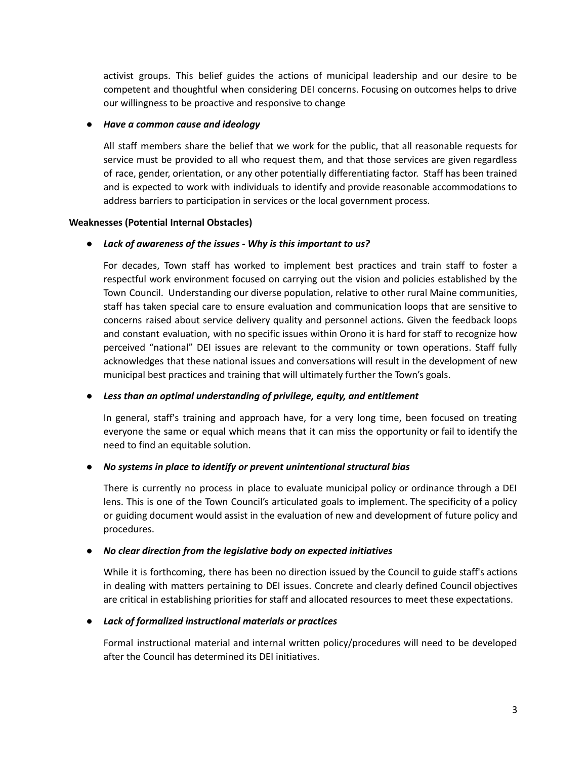activist groups. This belief guides the actions of municipal leadership and our desire to be competent and thoughtful when considering DEI concerns. Focusing on outcomes helps to drive our willingness to be proactive and responsive to change

#### *● Have a common cause and ideology*

All staff members share the belief that we work for the public, that all reasonable requests for service must be provided to all who request them, and that those services are given regardless of race, gender, orientation, or any other potentially differentiating factor. Staff has been trained and is expected to work with individuals to identify and provide reasonable accommodations to address barriers to participation in services or the local government process.

#### **Weaknesses (Potential Internal Obstacles)**

## *● Lack of awareness of the issues - Why is this important to us?*

For decades, Town staff has worked to implement best practices and train staff to foster a respectful work environment focused on carrying out the vision and policies established by the Town Council. Understanding our diverse population, relative to other rural Maine communities, staff has taken special care to ensure evaluation and communication loops that are sensitive to concerns raised about service delivery quality and personnel actions. Given the feedback loops and constant evaluation, with no specific issues within Orono it is hard for staff to recognize how perceived "national" DEI issues are relevant to the community or town operations. Staff fully acknowledges that these national issues and conversations will result in the development of new municipal best practices and training that will ultimately further the Town's goals.

#### *● Less than an optimal understanding of privilege, equity, and entitlement*

In general, staff's training and approach have, for a very long time, been focused on treating everyone the same or equal which means that it can miss the opportunity or fail to identify the need to find an equitable solution.

## *● No systems in place to identify or prevent unintentional structural bias*

There is currently no process in place to evaluate municipal policy or ordinance through a DEI lens. This is one of the Town Council's articulated goals to implement. The specificity of a policy or guiding document would assist in the evaluation of new and development of future policy and procedures.

## *● No clear direction from the legislative body on expected initiatives*

While it is forthcoming, there has been no direction issued by the Council to guide staff's actions in dealing with matters pertaining to DEI issues. Concrete and clearly defined Council objectives are critical in establishing priorities for staff and allocated resources to meet these expectations.

#### *● Lack of formalized instructional materials or practices*

Formal instructional material and internal written policy/procedures will need to be developed after the Council has determined its DEI initiatives.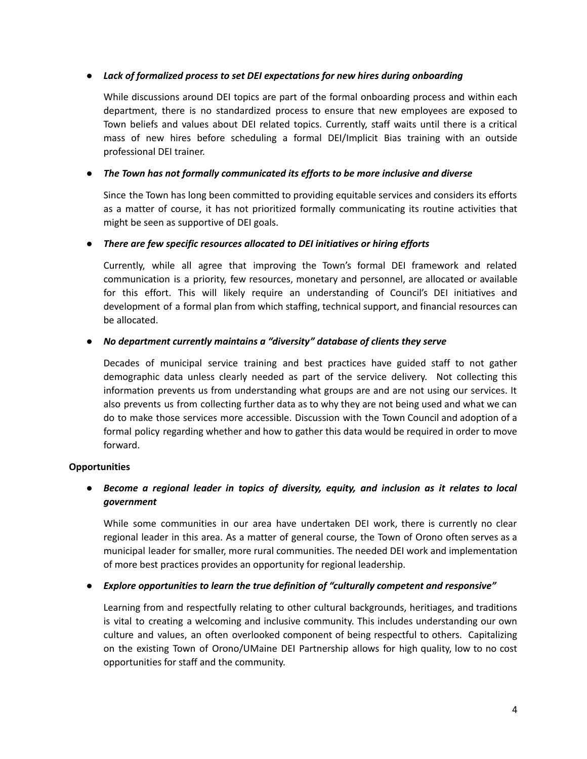## *● Lack of formalized process to set DEI expectations for new hires during onboarding*

While discussions around DEI topics are part of the formal onboarding process and within each department, there is no standardized process to ensure that new employees are exposed to Town beliefs and values about DEI related topics. Currently, staff waits until there is a critical mass of new hires before scheduling a formal DEI/Implicit Bias training with an outside professional DEI trainer.

## *● The Town has not formally communicated its efforts to be more inclusive and diverse*

Since the Town has long been committed to providing equitable services and considers its efforts as a matter of course, it has not prioritized formally communicating its routine activities that might be seen as supportive of DEI goals.

## *● There are few specific resources allocated to DEI initiatives or hiring efforts*

Currently, while all agree that improving the Town's formal DEI framework and related communication is a priority, few resources, monetary and personnel, are allocated or available for this effort. This will likely require an understanding of Council's DEI initiatives and development of a formal plan from which staffing, technical support, and financial resources can be allocated.

## *● No department currently maintains a "diversity" database of clients they serve*

Decades of municipal service training and best practices have guided staff to not gather demographic data unless clearly needed as part of the service delivery. Not collecting this information prevents us from understanding what groups are and are not using our services. It also prevents us from collecting further data as to why they are not being used and what we can do to make those services more accessible. Discussion with the Town Council and adoption of a formal policy regarding whether and how to gather this data would be required in order to move forward.

## **Opportunities**

## *● Become a regional leader in topics of diversity, equity, and inclusion as it relates to local government*

While some communities in our area have undertaken DEI work, there is currently no clear regional leader in this area. As a matter of general course, the Town of Orono often serves as a municipal leader for smaller, more rural communities. The needed DEI work and implementation of more best practices provides an opportunity for regional leadership.

#### *● Explore opportunities to learn the true definition of "culturally competent and responsive"*

Learning from and respectfully relating to other cultural backgrounds, heritiages, and traditions is vital to creating a welcoming and inclusive community. This includes understanding our own culture and values, an often overlooked component of being respectful to others. Capitalizing on the existing Town of Orono/UMaine DEI Partnership allows for high quality, low to no cost opportunities for staff and the community.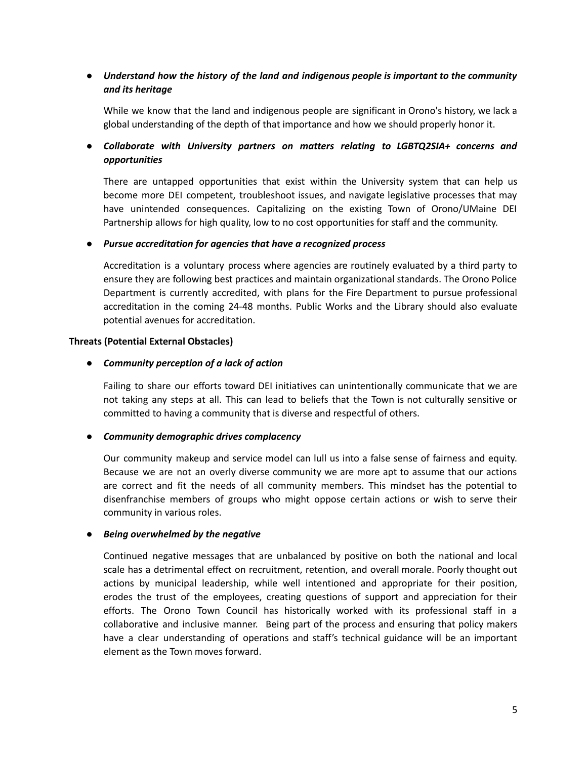## *● Understand how the history of the land and indigenous people is important to the community and its heritage*

While we know that the land and indigenous people are significant in Orono's history, we lack a global understanding of the depth of that importance and how we should properly honor it.

## *● Collaborate with University partners on matters relating to LGBTQ2SIA+ concerns and opportunities*

There are untapped opportunities that exist within the University system that can help us become more DEI competent, troubleshoot issues, and navigate legislative processes that may have unintended consequences. Capitalizing on the existing Town of Orono/UMaine DEI Partnership allows for high quality, low to no cost opportunities for staff and the community.

#### *● Pursue accreditation for agencies that have a recognized process*

Accreditation is a voluntary process where agencies are routinely evaluated by a third party to ensure they are following best practices and maintain organizational standards. The Orono Police Department is currently accredited, with plans for the Fire Department to pursue professional accreditation in the coming 24-48 months. Public Works and the Library should also evaluate potential avenues for accreditation.

#### **Threats (Potential External Obstacles)**

#### *● Community perception of a lack of action*

Failing to share our efforts toward DEI initiatives can unintentionally communicate that we are not taking any steps at all. This can lead to beliefs that the Town is not culturally sensitive or committed to having a community that is diverse and respectful of others.

#### *● Community demographic drives complacency*

Our community makeup and service model can lull us into a false sense of fairness and equity. Because we are not an overly diverse community we are more apt to assume that our actions are correct and fit the needs of all community members. This mindset has the potential to disenfranchise members of groups who might oppose certain actions or wish to serve their community in various roles.

#### *● Being overwhelmed by the negative*

Continued negative messages that are unbalanced by positive on both the national and local scale has a detrimental effect on recruitment, retention, and overall morale. Poorly thought out actions by municipal leadership, while well intentioned and appropriate for their position, erodes the trust of the employees, creating questions of support and appreciation for their efforts. The Orono Town Council has historically worked with its professional staff in a collaborative and inclusive manner. Being part of the process and ensuring that policy makers have a clear understanding of operations and staff's technical guidance will be an important element as the Town moves forward.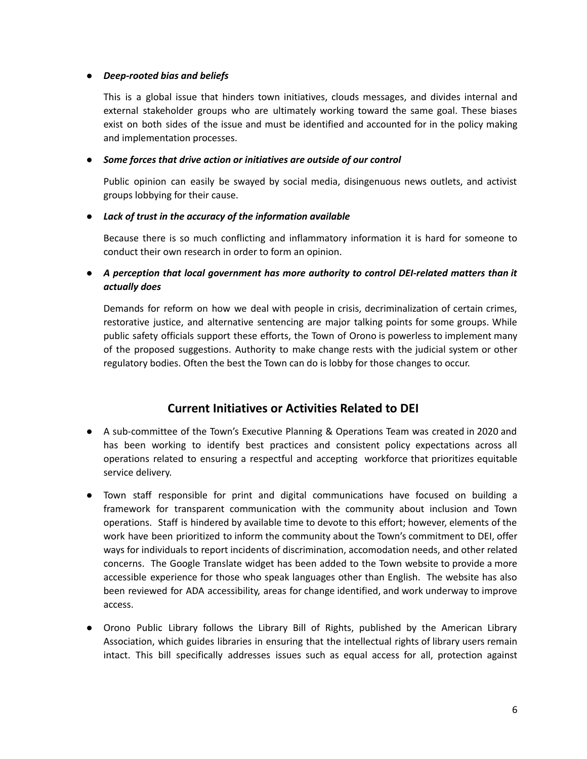#### *● Deep-rooted bias and beliefs*

This is a global issue that hinders town initiatives, clouds messages, and divides internal and external stakeholder groups who are ultimately working toward the same goal. These biases exist on both sides of the issue and must be identified and accounted for in the policy making and implementation processes.

## *● Some forces that drive action or initiatives are outside of our control*

Public opinion can easily be swayed by social media, disingenuous news outlets, and activist groups lobbying for their cause.

## *● Lack of trust in the accuracy of the information available*

Because there is so much conflicting and inflammatory information it is hard for someone to conduct their own research in order to form an opinion.

*● A perception that local government has more authority to control DEI-related matters than it actually does*

Demands for reform on how we deal with people in crisis, decriminalization of certain crimes, restorative justice, and alternative sentencing are major talking points for some groups. While public safety officials support these efforts, the Town of Orono is powerless to implement many of the proposed suggestions. Authority to make change rests with the judicial system or other regulatory bodies. Often the best the Town can do is lobby for those changes to occur.

# **Current Initiatives or Activities Related to DEI**

- A sub-committee of the Town's Executive Planning & Operations Team was created in 2020 and has been working to identify best practices and consistent policy expectations across all operations related to ensuring a respectful and accepting workforce that prioritizes equitable service delivery.
- Town staff responsible for print and digital communications have focused on building a framework for transparent communication with the community about inclusion and Town operations. Staff is hindered by available time to devote to this effort; however, elements of the work have been prioritized to inform the community about the Town's commitment to DEI, offer ways for individuals to report incidents of discrimination, accomodation needs, and other related concerns. The Google Translate widget has been added to the Town website to provide a more accessible experience for those who speak languages other than English. The website has also been reviewed for ADA accessibility, areas for change identified, and work underway to improve access.
- Orono Public Library follows the Library Bill of Rights, published by the American Library Association, which guides libraries in ensuring that the intellectual rights of library users remain intact. This bill specifically addresses issues such as equal access for all, protection against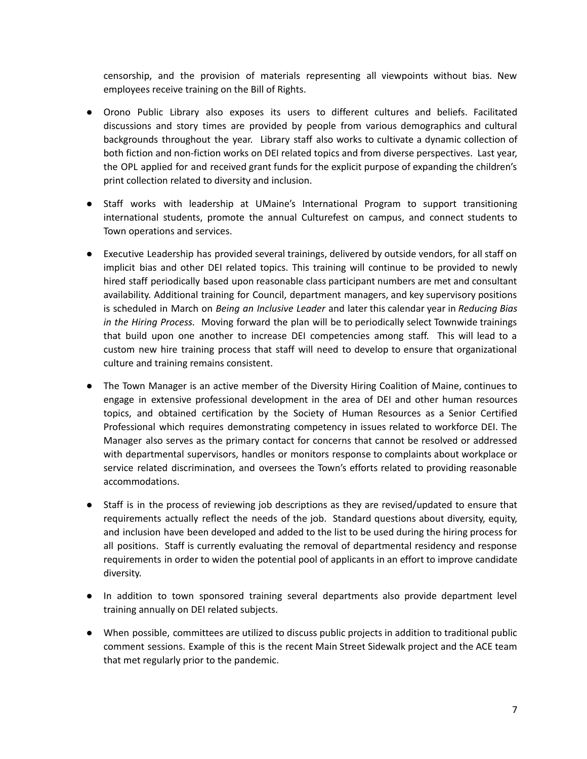censorship, and the provision of materials representing all viewpoints without bias. New employees receive training on the Bill of Rights.

- Orono Public Library also exposes its users to different cultures and beliefs. Facilitated discussions and story times are provided by people from various demographics and cultural backgrounds throughout the year. Library staff also works to cultivate a dynamic collection of both fiction and non-fiction works on DEI related topics and from diverse perspectives. Last year, the OPL applied for and received grant funds for the explicit purpose of expanding the children's print collection related to diversity and inclusion.
- Staff works with leadership at UMaine's International Program to support transitioning international students, promote the annual Culturefest on campus, and connect students to Town operations and services.
- Executive Leadership has provided several trainings, delivered by outside vendors, for all staff on implicit bias and other DEI related topics. This training will continue to be provided to newly hired staff periodically based upon reasonable class participant numbers are met and consultant availability. Additional training for Council, department managers, and key supervisory positions is scheduled in March on *Being an Inclusive Leader* and later this calendar year in *Reducing Bias in the Hiring Process.* Moving forward the plan will be to periodically select Townwide trainings that build upon one another to increase DEI competencies among staff. This will lead to a custom new hire training process that staff will need to develop to ensure that organizational culture and training remains consistent.
- The Town Manager is an active member of the Diversity Hiring Coalition of Maine, continues to engage in extensive professional development in the area of DEI and other human resources topics, and obtained certification by the Society of Human Resources as a Senior Certified Professional which requires demonstrating competency in issues related to workforce DEI. The Manager also serves as the primary contact for concerns that cannot be resolved or addressed with departmental supervisors, handles or monitors response to complaints about workplace or service related discrimination, and oversees the Town's efforts related to providing reasonable accommodations.
- Staff is in the process of reviewing job descriptions as they are revised/updated to ensure that requirements actually reflect the needs of the job. Standard questions about diversity, equity, and inclusion have been developed and added to the list to be used during the hiring process for all positions. Staff is currently evaluating the removal of departmental residency and response requirements in order to widen the potential pool of applicants in an effort to improve candidate diversity.
- In addition to town sponsored training several departments also provide department level training annually on DEI related subjects.
- When possible, committees are utilized to discuss public projects in addition to traditional public comment sessions. Example of this is the recent Main Street Sidewalk project and the ACE team that met regularly prior to the pandemic.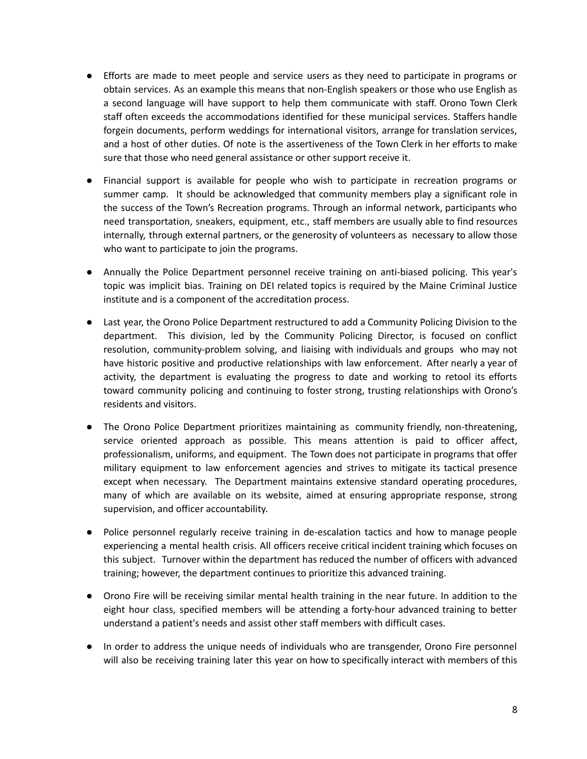- Efforts are made to meet people and service users as they need to participate in programs or obtain services. As an example this means that non-English speakers or those who use English as a second language will have support to help them communicate with staff. Orono Town Clerk staff often exceeds the accommodations identified for these municipal services. Staffers handle forgein documents, perform weddings for international visitors, arrange for translation services, and a host of other duties. Of note is the assertiveness of the Town Clerk in her efforts to make sure that those who need general assistance or other support receive it.
- Financial support is available for people who wish to participate in recreation programs or summer camp. It should be acknowledged that community members play a significant role in the success of the Town's Recreation programs. Through an informal network, participants who need transportation, sneakers, equipment, etc., staff members are usually able to find resources internally, through external partners, or the generosity of volunteers as necessary to allow those who want to participate to join the programs.
- Annually the Police Department personnel receive training on anti-biased policing. This year's topic was implicit bias. Training on DEI related topics is required by the Maine Criminal Justice institute and is a component of the accreditation process.
- Last year, the Orono Police Department restructured to add a Community Policing Division to the department. This division, led by the Community Policing Director, is focused on conflict resolution, community-problem solving, and liaising with individuals and groups who may not have historic positive and productive relationships with law enforcement. After nearly a year of activity, the department is evaluating the progress to date and working to retool its efforts toward community policing and continuing to foster strong, trusting relationships with Orono's residents and visitors.
- The Orono Police Department prioritizes maintaining as community friendly, non-threatening, service oriented approach as possible. This means attention is paid to officer affect, professionalism, uniforms, and equipment. The Town does not participate in programs that offer military equipment to law enforcement agencies and strives to mitigate its tactical presence except when necessary. The Department maintains extensive standard operating procedures, many of which are available on its website, aimed at ensuring appropriate response, strong supervision, and officer accountability.
- Police personnel regularly receive training in de-escalation tactics and how to manage people experiencing a mental health crisis. All officers receive critical incident training which focuses on this subject. Turnover within the department has reduced the number of officers with advanced training; however, the department continues to prioritize this advanced training.
- Orono Fire will be receiving similar mental health training in the near future. In addition to the eight hour class, specified members will be attending a forty-hour advanced training to better understand a patient's needs and assist other staff members with difficult cases.
- In order to address the unique needs of individuals who are transgender, Orono Fire personnel will also be receiving training later this year on how to specifically interact with members of this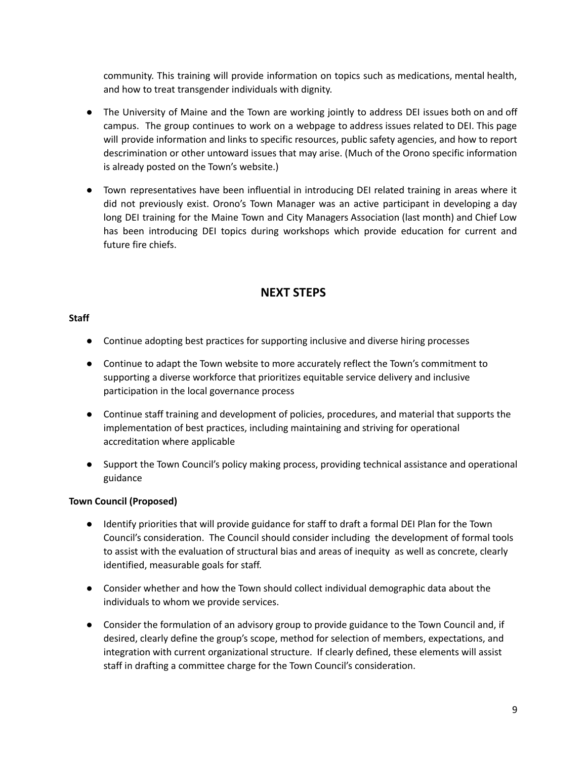community. This training will provide information on topics such as medications, mental health, and how to treat transgender individuals with dignity.

- The University of Maine and the Town are working jointly to address DEI issues both on and off campus. The group continues to work on a webpage to address issues related to DEI. This page will provide information and links to specific resources, public safety agencies, and how to report descrimination or other untoward issues that may arise. (Much of the Orono specific information is already posted on the Town's website.)
- Town representatives have been influential in introducing DEI related training in areas where it did not previously exist. Orono's Town Manager was an active participant in developing a day long DEI training for the Maine Town and City Managers Association (last month) and Chief Low has been introducing DEI topics during workshops which provide education for current and future fire chiefs.

# **NEXT STEPS**

## **Staff**

- Continue adopting best practices for supporting inclusive and diverse hiring processes
- Continue to adapt the Town website to more accurately reflect the Town's commitment to supporting a diverse workforce that prioritizes equitable service delivery and inclusive participation in the local governance process
- Continue staff training and development of policies, procedures, and material that supports the implementation of best practices, including maintaining and striving for operational accreditation where applicable
- Support the Town Council's policy making process, providing technical assistance and operational guidance

## **Town Council (Proposed)**

- Identify priorities that will provide guidance for staff to draft a formal DEI Plan for the Town Council's consideration. The Council should consider including the development of formal tools to assist with the evaluation of structural bias and areas of inequity as well as concrete, clearly identified, measurable goals for staff.
- Consider whether and how the Town should collect individual demographic data about the individuals to whom we provide services.
- Consider the formulation of an advisory group to provide guidance to the Town Council and, if desired, clearly define the group's scope, method for selection of members, expectations, and integration with current organizational structure. If clearly defined, these elements will assist staff in drafting a committee charge for the Town Council's consideration.